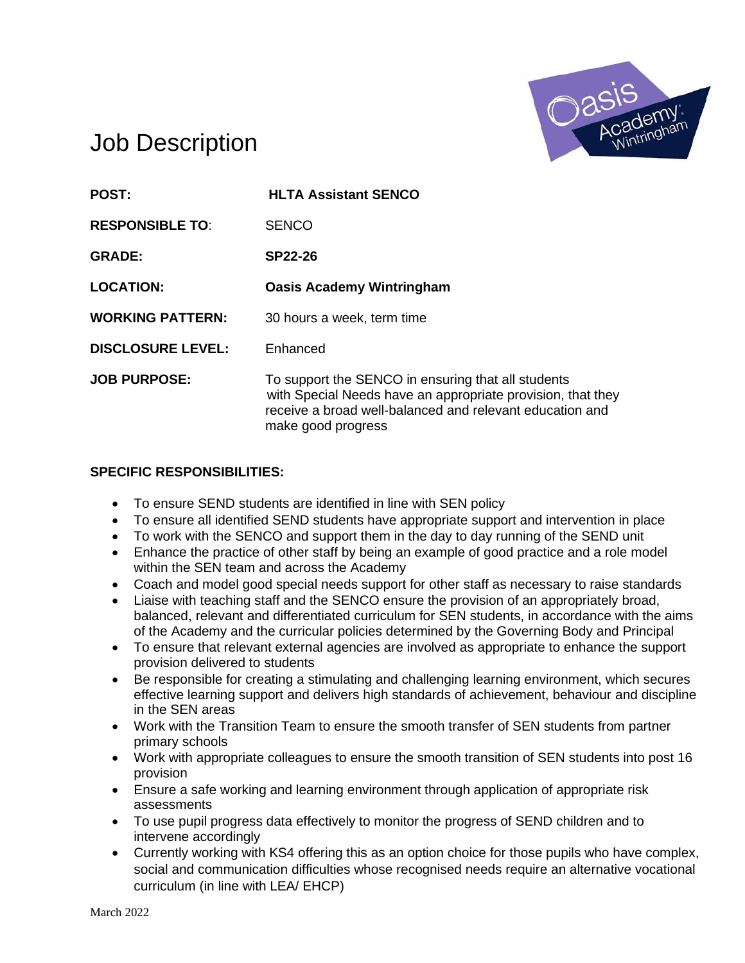

# Job Description

| <b>POST:</b>             | <b>HLTA Assistant SENCO</b>                                                                                                                                                                         |
|--------------------------|-----------------------------------------------------------------------------------------------------------------------------------------------------------------------------------------------------|
| <b>RESPONSIBLE TO:</b>   | <b>SENCO</b>                                                                                                                                                                                        |
| <b>GRADE:</b>            | SP22-26                                                                                                                                                                                             |
| <b>LOCATION:</b>         | <b>Oasis Academy Wintringham</b>                                                                                                                                                                    |
| <b>WORKING PATTERN:</b>  | 30 hours a week, term time                                                                                                                                                                          |
| <b>DISCLOSURE LEVEL:</b> | Enhanced                                                                                                                                                                                            |
| <b>JOB PURPOSE:</b>      | To support the SENCO in ensuring that all students<br>with Special Needs have an appropriate provision, that they<br>receive a broad well-balanced and relevant education and<br>make good progress |

#### **SPECIFIC RESPONSIBILITIES:**

- To ensure SEND students are identified in line with SEN policy
- To ensure all identified SEND students have appropriate support and intervention in place
- To work with the SENCO and support them in the day to day running of the SEND unit
- Enhance the practice of other staff by being an example of good practice and a role model within the SEN team and across the Academy
- Coach and model good special needs support for other staff as necessary to raise standards
- Liaise with teaching staff and the SENCO ensure the provision of an appropriately broad, balanced, relevant and differentiated curriculum for SEN students, in accordance with the aims of the Academy and the curricular policies determined by the Governing Body and Principal
- To ensure that relevant external agencies are involved as appropriate to enhance the support provision delivered to students
- Be responsible for creating a stimulating and challenging learning environment, which secures effective learning support and delivers high standards of achievement, behaviour and discipline in the SEN areas
- Work with the Transition Team to ensure the smooth transfer of SEN students from partner primary schools
- Work with appropriate colleagues to ensure the smooth transition of SEN students into post 16 provision
- Ensure a safe working and learning environment through application of appropriate risk assessments
- To use pupil progress data effectively to monitor the progress of SEND children and to intervene accordingly
- Currently working with KS4 offering this as an option choice for those pupils who have complex, social and communication difficulties whose recognised needs require an alternative vocational curriculum (in line with LEA/ EHCP)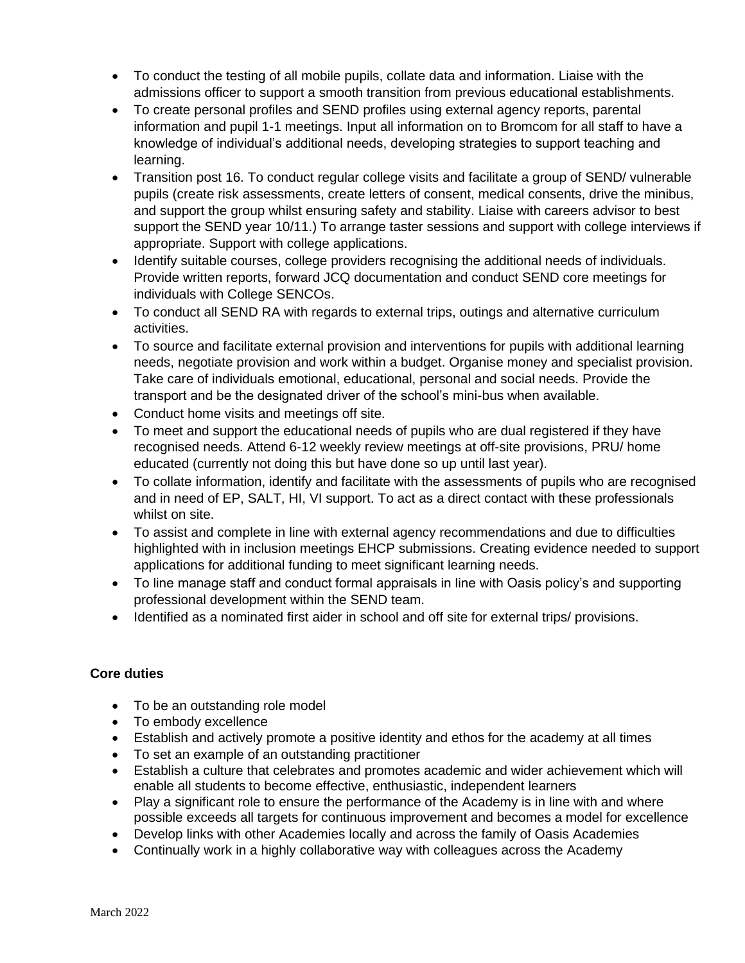- To conduct the testing of all mobile pupils, collate data and information. Liaise with the admissions officer to support a smooth transition from previous educational establishments.
- To create personal profiles and SEND profiles using external agency reports, parental information and pupil 1-1 meetings. Input all information on to Bromcom for all staff to have a knowledge of individual's additional needs, developing strategies to support teaching and learning.
- Transition post 16. To conduct regular college visits and facilitate a group of SEND/ vulnerable pupils (create risk assessments, create letters of consent, medical consents, drive the minibus, and support the group whilst ensuring safety and stability. Liaise with careers advisor to best support the SEND year 10/11.) To arrange taster sessions and support with college interviews if appropriate. Support with college applications.
- Identify suitable courses, college providers recognising the additional needs of individuals. Provide written reports, forward JCQ documentation and conduct SEND core meetings for individuals with College SENCOs.
- To conduct all SEND RA with regards to external trips, outings and alternative curriculum activities.
- To source and facilitate external provision and interventions for pupils with additional learning needs, negotiate provision and work within a budget. Organise money and specialist provision. Take care of individuals emotional, educational, personal and social needs. Provide the transport and be the designated driver of the school's mini-bus when available.
- Conduct home visits and meetings off site.
- To meet and support the educational needs of pupils who are dual registered if they have recognised needs. Attend 6-12 weekly review meetings at off-site provisions, PRU/ home educated (currently not doing this but have done so up until last year).
- To collate information, identify and facilitate with the assessments of pupils who are recognised and in need of EP, SALT, HI, VI support. To act as a direct contact with these professionals whilst on site.
- To assist and complete in line with external agency recommendations and due to difficulties highlighted with in inclusion meetings EHCP submissions. Creating evidence needed to support applications for additional funding to meet significant learning needs.
- To line manage staff and conduct formal appraisals in line with Oasis policy's and supporting professional development within the SEND team.
- Identified as a nominated first aider in school and off site for external trips/ provisions.

### **Core duties**

- To be an outstanding role model
- To embody excellence
- Establish and actively promote a positive identity and ethos for the academy at all times
- To set an example of an outstanding practitioner
- Establish a culture that celebrates and promotes academic and wider achievement which will enable all students to become effective, enthusiastic, independent learners
- Play a significant role to ensure the performance of the Academy is in line with and where possible exceeds all targets for continuous improvement and becomes a model for excellence
- Develop links with other Academies locally and across the family of Oasis Academies
- Continually work in a highly collaborative way with colleagues across the Academy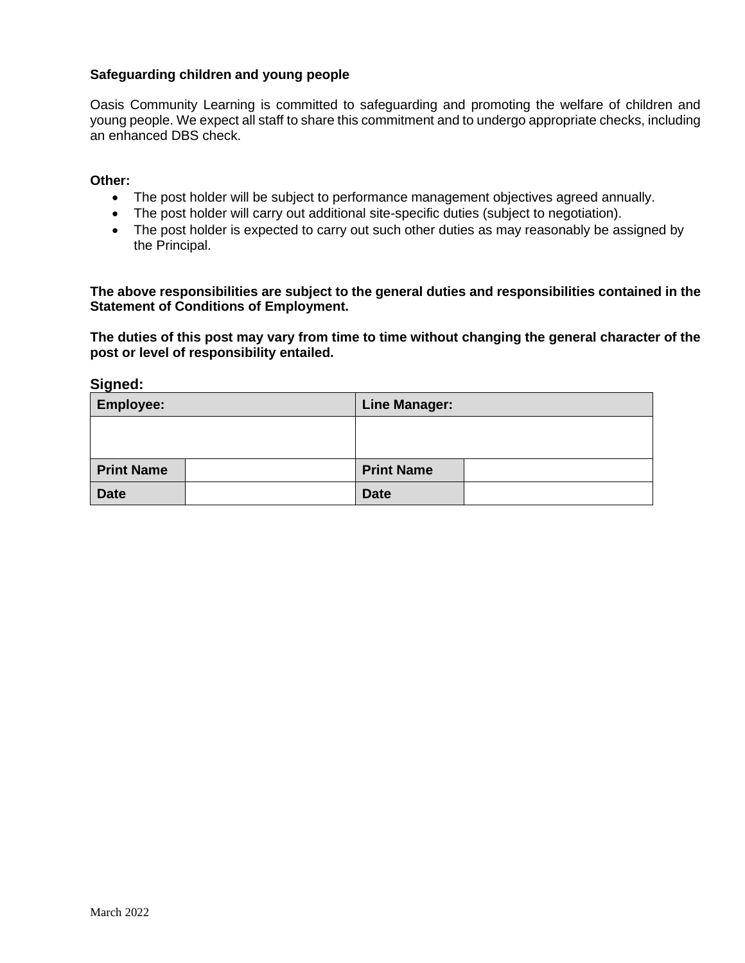#### **Safeguarding children and young people**

Oasis Community Learning is committed to safeguarding and promoting the welfare of children and young people. We expect all staff to share this commitment and to undergo appropriate checks, including an enhanced DBS check.

#### **Other:**

- The post holder will be subject to performance management objectives agreed annually.
- The post holder will carry out additional site-specific duties (subject to negotiation).
- The post holder is expected to carry out such other duties as may reasonably be assigned by the Principal.

**The above responsibilities are subject to the general duties and responsibilities contained in the Statement of Conditions of Employment.**

**The duties of this post may vary from time to time without changing the general character of the post or level of responsibility entailed.**

**Signed:**

| <b>Employee:</b>  | <b>Line Manager:</b> |  |
|-------------------|----------------------|--|
|                   |                      |  |
|                   |                      |  |
| <b>Print Name</b> | <b>Print Name</b>    |  |
| <b>Date</b>       | <b>Date</b>          |  |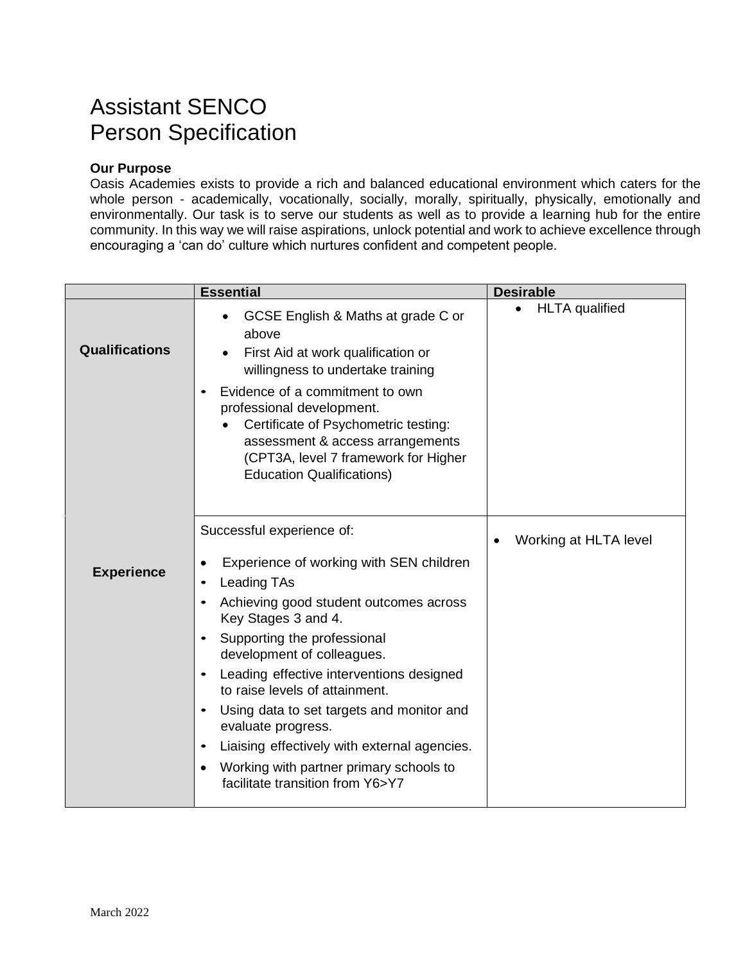# Assistant SENCO Person Specification

### **Our Purpose**

Oasis Academies exists to provide a rich and balanced educational environment which caters for the whole person - academically, vocationally, socially, morally, spiritually, physically, emotionally and environmentally. Our task is to serve our students as well as to provide a learning hub for the entire community. In this way we will raise aspirations, unlock potential and work to achieve excellence through encouraging a 'can do' culture which nurtures confident and competent people.

|                       | <b>Essential</b>                                                                                                                                                                                                                                                                                                                                                                                                                                                                                                                                                                                         | <b>Desirable</b>                   |
|-----------------------|----------------------------------------------------------------------------------------------------------------------------------------------------------------------------------------------------------------------------------------------------------------------------------------------------------------------------------------------------------------------------------------------------------------------------------------------------------------------------------------------------------------------------------------------------------------------------------------------------------|------------------------------------|
| <b>Qualifications</b> | GCSE English & Maths at grade C or<br>above<br>First Aid at work qualification or<br>willingness to undertake training<br>Evidence of a commitment to own<br>$\bullet$<br>professional development.<br>Certificate of Psychometric testing:<br>assessment & access arrangements<br>(CPT3A, level 7 framework for Higher<br><b>Education Qualifications)</b>                                                                                                                                                                                                                                              | <b>HLTA</b> qualified<br>$\bullet$ |
| <b>Experience</b>     | Successful experience of:<br>Experience of working with SEN children<br>٠<br><b>Leading TAs</b><br>$\bullet$<br>Achieving good student outcomes across<br>$\bullet$<br>Key Stages 3 and 4.<br>Supporting the professional<br>$\bullet$<br>development of colleagues.<br>Leading effective interventions designed<br>$\bullet$<br>to raise levels of attainment.<br>Using data to set targets and monitor and<br>$\bullet$<br>evaluate progress.<br>Liaising effectively with external agencies.<br>$\bullet$<br>Working with partner primary schools to<br>$\bullet$<br>facilitate transition from Y6>Y7 | Working at HLTA level              |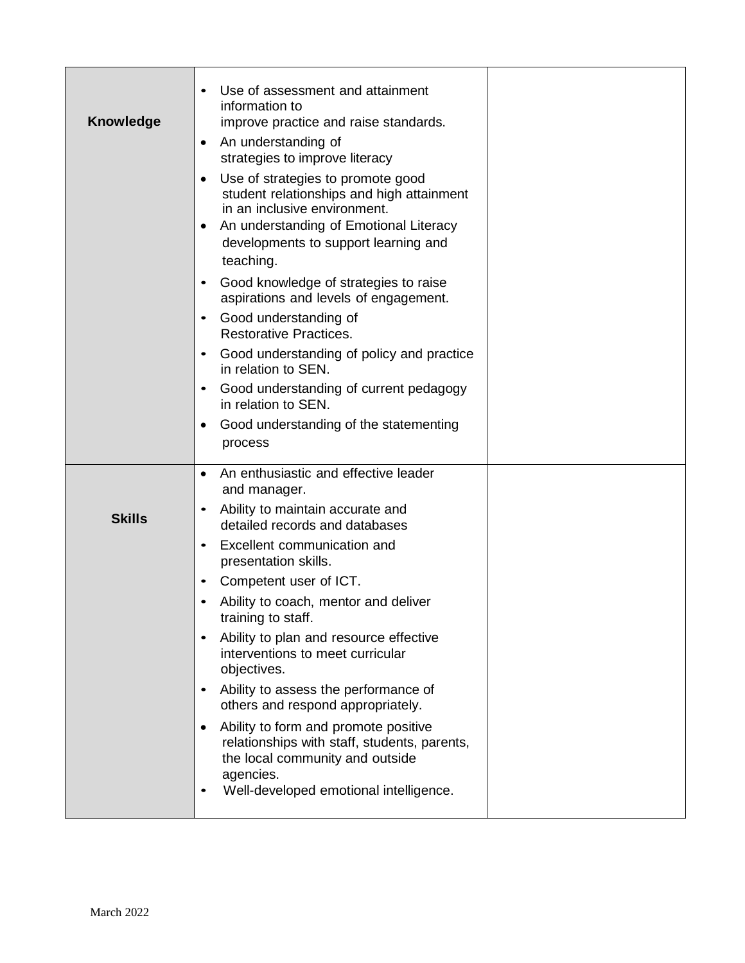| <b>Knowledge</b> | Use of assessment and attainment<br>information to<br>improve practice and raise standards.<br>An understanding of<br>٠<br>strategies to improve literacy<br>Use of strategies to promote good<br>student relationships and high attainment<br>in an inclusive environment.<br>An understanding of Emotional Literacy<br>developments to support learning and<br>teaching.<br>Good knowledge of strategies to raise<br>$\bullet$<br>aspirations and levels of engagement.<br>Good understanding of<br>$\bullet$<br><b>Restorative Practices.</b><br>Good understanding of policy and practice<br>in relation to SEN.<br>Good understanding of current pedagogy<br>$\bullet$<br>in relation to SEN.<br>Good understanding of the statementing<br>٠<br>process |  |
|------------------|--------------------------------------------------------------------------------------------------------------------------------------------------------------------------------------------------------------------------------------------------------------------------------------------------------------------------------------------------------------------------------------------------------------------------------------------------------------------------------------------------------------------------------------------------------------------------------------------------------------------------------------------------------------------------------------------------------------------------------------------------------------|--|
| <b>Skills</b>    | An enthusiastic and effective leader<br>and manager.<br>Ability to maintain accurate and<br>$\bullet$<br>detailed records and databases<br>Excellent communication and<br>$\bullet$<br>presentation skills.<br>Competent user of ICT.<br>Ability to coach, mentor and deliver<br>training to staff.<br>Ability to plan and resource effective<br>interventions to meet curricular<br>objectives.<br>Ability to assess the performance of<br>others and respond appropriately.<br>Ability to form and promote positive<br>relationships with staff, students, parents,<br>the local community and outside<br>agencies.<br>Well-developed emotional intelligence.                                                                                              |  |